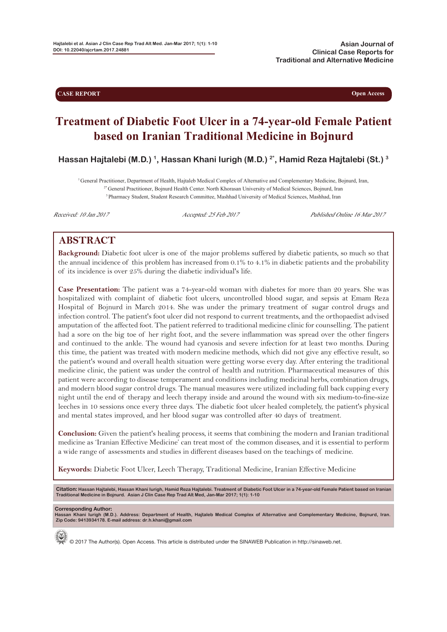**CASE REPORT Open Access** 

# **Treatment of Diabetic Foot Ulcer in a 74-year-old Female Patient based on Iranian Traditional Medicine in Bojnurd**

**Hassan Hajtalebi (M.D.) 1, Hassan Khani Iurigh (M.D.) 2\* , Hamid Reza Hajtalebi (St.) 3**

<sup>1</sup>General Practitioner, Department of Health, Hajtaleb Medical Complex of Alternative and Complementary Medicine, Bojnurd, Iran, <sup>2\*</sup> General Practitioner, Bojnurd Health Center. North Khorasan University of Medical Scien <sup>3</sup> Pharmacy Student, Student Research Committee, Mashhad University of Medical Sciences, Mashhad, Iran

Received: 10 Jan 2017 Accepted: 25 Feb 2017 Published Online 16 Mar 2017

## **ABSTRACT**

**Background:** Diabetic foot ulcer is one of the major problems suffered by diabetic patients, so much so that the annual incidence of this problem has increased from 0.1% to 4.1% in diabetic patients and the probability of its incidence is over 25% during the diabetic individual's life.

**Case Presentation:** The patient was a 74-year-old woman with diabetes for more than 20 years. She was hospitalized with complaint of diabetic foot ulcers, uncontrolled blood sugar, and sepsis at Emam Reza Hospital of Bojnurd in March 2014. She was under the primary treatment of sugar control drugs and infection control. The patient's foot ulcer did not respond to current treatments, and the orthopaedist advised amputation of the affected foot. The patient referred to traditional medicine clinic for counselling. The patient had a sore on the big toe of her right foot, and the severe inflammation was spread over the other fingers and continued to the ankle. The wound had cyanosis and severe infection for at least two months. During this time, the patient was treated with modern medicine methods, which did not give any effective result, so the patient's wound and overall health situation were getting worse every day. After entering the traditional medicine clinic, the patient was under the control of health and nutrition. Pharmaceutical measures of this patient were according to disease temperament and conditions including medicinal herbs, combination drugs, and modern blood sugar control drugs. The manual measures were utilized including full back cupping every night until the end of therapy and leech therapy inside and around the wound with six medium-to-fine-size leeches in 10 sessions once every three days. The diabetic foot ulcer healed completely, the patient's physical and mental states improved, and her blood sugar was controlled after 40 days of treatment.

**Conclusion:** Given the patient's healing process, it seems that combining the modern and Iranian traditional medicine as 'Iranian Effective Medicine' can treat most of the common diseases, and it is essential to perform a wide range of assessments and studies in different diseases based on the teachings of medicine.

**Keywords:** Diabetic Foot Ulcer, Leech Therapy, Traditional Medicine, Iranian Effective Medicine

Citation: Hassan Hajtalebi, Hassan Khani Iurigh, Hamid Reza Hajtalebi. Treatment of Diabetic Foot Ulcer in a 74-year-old Female Patient based on Iranian<br>Traditional Medicine in Bojnurd. Asian J Clin Case Rep Trad Alt Med,

**Corresponding Author: Hassan Khani Iurigh (M.D.). Address: Department of Health, Hajtaleb Medical Complex of Alternative and Complementary Medicine, Bojnurd, Iran. Zip Code: 9413934178. E-mail address: dr.h.khani@gmail.com**

© 2017 The Author(s). Open Access. This article is distributed under the SINAWEB Publication in http://sinaweb.net.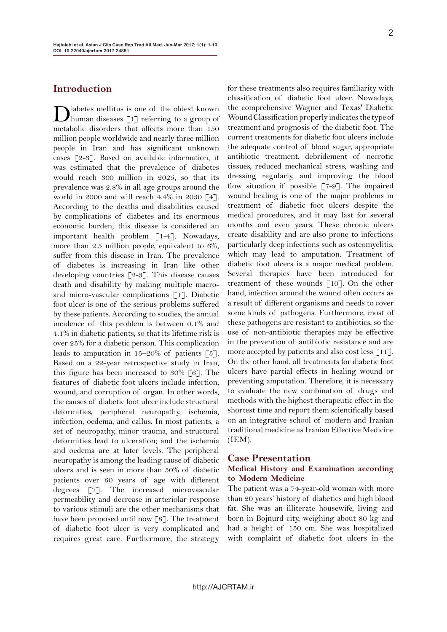## **Introduction**

Diabetes mellitus is one of the oldest known human diseases [1] referring to a group of metabolic disorders that affects more than 150 million people worldwide and nearly three million people in Iran and has significant unknown cases [2-3]. Based on available information, it was estimated that the prevalence of diabetes would reach 300 million in 2025, so that its prevalence was 2.8% in all age groups around the world in 2000 and will reach 4.4% in 2030 [4]. According to the deaths and disabilities caused by complications of diabetes and its enormous economic burden, this disease is considered an important health problem [1-4]. Nowadays, more than 2.5 million people, equivalent to 6%, suffer from this disease in Iran. The prevalence of diabetes is increasing in Iran like other developing countries  $\lceil 2-3 \rceil$ . This disease causes death and disability by making multiple macroand micro-vascular complications [1]. Diabetic foot ulcer is one of the serious problems suffered by these patients. According to studies, the annual incidence of this problem is between 0.1% and 4.1% in diabetic patients, so that its lifetime risk is over 25% for a diabetic person. This complication leads to amputation in  $15-20\%$  of patients [5]. Based on a 22-year retrospective study in Iran, this figure has been increased to 30% [6]. The features of diabetic foot ulcers include infection, wound, and corruption of organ. In other words, the causes of diabetic foot ulcer include structural deformities, peripheral neuropathy, ischemia, infection, oedema, and callus. In most patients, a set of neuropathy, minor trauma, and structural deformities lead to ulceration; and the ischemia and oedema are at later levels. The peripheral neuropathy is among the leading cause of diabetic ulcers and is seen in more than 50% of diabetic patients over 60 years of age with different degrees [7]. The increased microvascular permeability and decrease in arteriolar response to various stimuli are the other mechanisms that have been proposed until now [8]. The treatment of diabetic foot ulcer is very complicated and requires great care. Furthermore, the strategy

for these treatments also requires familiarity with classification of diabetic foot ulcer. Nowadays, the comprehensive Wagner and Texas' Diabetic Wound Classification properly indicates the type of treatment and prognosis of the diabetic foot. The current treatments for diabetic foot ulcers include the adequate control of blood sugar, appropriate antibiotic treatment, debridement of necrotic tissues, reduced mechanical stress, washing and dressing regularly, and improving the blood flow situation if possible [7-9]. The impaired wound healing is one of the major problems in treatment of diabetic foot ulcers despite the medical procedures, and it may last for several months and even years. These chronic ulcers create disability and are also prone to infections particularly deep infections such as osteomyelitis, which may lead to amputation. Treatment of diabetic foot ulcers is a major medical problem. Several therapies have been introduced for treatment of these wounds [10]. On the other hand, infection around the wound often occurs as a result of different organisms and needs to cover some kinds of pathogens. Furthermore, most of these pathogens are resistant to antibiotics, so the use of non-antibiotic therapies may be effective in the prevention of antibiotic resistance and are more accepted by patients and also cost less [11]. On the other hand, all treatments for diabetic foot ulcers have partial effects in healing wound or preventing amputation. Therefore, it is necessary to evaluate the new combination of drugs and methods with the highest therapeutic effect in the shortest time and report them scientifically based on an integrative school of modern and Iranian traditional medicine as Iranian Effective Medicine  $(IEM)$ .

#### **Case Presentation**

#### **Medical History and Examination according to Modern Medicine**

The patient was a 74-year-old woman with more than 20 years' history of diabetics and high blood fat. She was an illiterate housewife, living and born in Bojnurd city, weighing about 80 kg and had a height of 150 cm. She was hospitalized with complaint of diabetic foot ulcers in the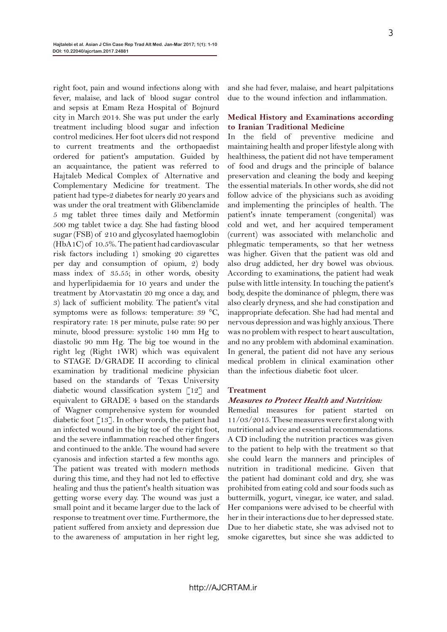right foot, pain and wound infections along with fever, malaise, and lack of blood sugar control and sepsis at Emam Reza Hospital of Bojnurd city in March 2014. She was put under the early treatment including blood sugar and infection control medicines. Her foot ulcers did not respond to current treatments and the orthopaedist ordered for patient's amputation. Guided by an acquaintance, the patient was referred to Hajtaleb Medical Complex of Alternative and Complementary Medicine for treatment. The patient had type-2 diabetes for nearly 20 years and was under the oral treatment with Glibenclamide 5 mg tablet three times daily and Metformin 500 mg tablet twice a day. She had fasting blood sugar (FSB) of 210 and glycosylated haemoglobin (HbA1C) of 10.5%. The patient had cardiovascular risk factors including 1) smoking 20 cigarettes per day and consumption of opium, 2) body mass index of 35.55; in other words, obesity and hyperlipidaemia for 10 years and under the treatment by Atorvastatin 20 mg once a day, and 3) lack of sufficient mobility. The patient's vital symptoms were as follows: temperature: 39 °C, respiratory rate: 18 per minute, pulse rate: 90 per minute, blood pressure: systolic 140 mm Hg to diastolic 90 mm Hg. The big toe wound in the right leg (Right 1WR) which was equivalent to STAGE D/GRADE II according to clinical examination by traditional medicine physician based on the standards of Texas University diabetic wound classification system [12] and equivalent to GRADE 4 based on the standards of Wagner comprehensive system for wounded diabetic foot [13]. In other words, the patient had an infected wound in the big toe of the right foot, and the severe inflammation reached other fingers and continued to the ankle. The wound had severe cyanosis and infection started a few months ago. The patient was treated with modern methods during this time, and they had not led to effective healing and thus the patient's health situation was getting worse every day. The wound was just a small point and it became larger due to the lack of response to treatment over time. Furthermore, the patient suffered from anxiety and depression due to the awareness of amputation in her right leg,

and she had fever, malaise, and heart palpitations due to the wound infection and inflammation.

#### **Medical History and Examinations according to Iranian Traditional Medicine**

In the field of preventive medicine and maintaining health and proper lifestyle along with healthiness, the patient did not have temperament of food and drugs and the principle of balance preservation and cleaning the body and keeping the essential materials. In other words, she did not follow advice of the physicians such as avoiding and implementing the principles of health. The patient's innate temperament (congenital) was cold and wet, and her acquired temperament (current) was associated with melancholic and phlegmatic temperaments, so that her wetness was higher. Given that the patient was old and also drug addicted, her dry bowel was obvious. According to examinations, the patient had weak pulse with little intensity. In touching the patient's body, despite the dominance of phlegm, there was also clearly dryness, and she had constipation and inappropriate defecation. She had had mental and nervous depression and was highly anxious. There was no problem with respect to heart auscultation, and no any problem with abdominal examination. In general, the patient did not have any serious medical problem in clinical examination other than the infectious diabetic foot ulcer.

#### **Treatment**

#### **Measures to Protect Health and Nutrition:**

Remedial measures for patient started on 11/03/2015. These measures were first along with nutritional advice and essential recommendations. A CD including the nutrition practices was given to the patient to help with the treatment so that she could learn the manners and principles of nutrition in traditional medicine. Given that the patient had dominant cold and dry, she was prohibited from eating cold and sour foods such as buttermilk, yogurt, vinegar, ice water, and salad. Her companions were advised to be cheerful with her in their interactions due to her depressed state. Due to her diabetic state, she was advised not to smoke cigarettes, but since she was addicted to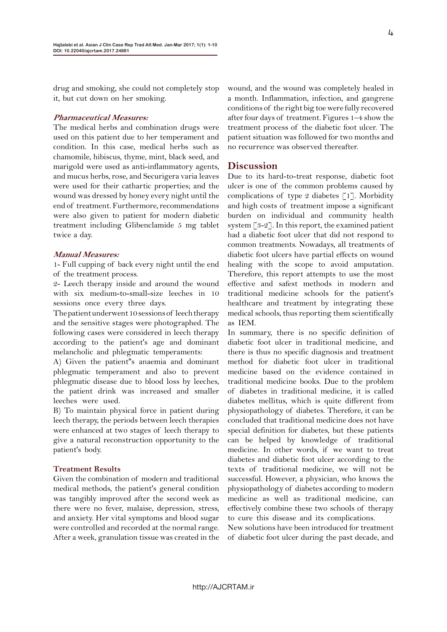drug and smoking, she could not completely stop it, but cut down on her smoking.

#### **Pharmaceutical Measures:**

The medical herbs and combination drugs were used on this patient due to her temperament and condition. In this case, medical herbs such as chamomile, hibiscus, thyme, mint, black seed, and marigold were used as anti-inflammatory agents, and mucus herbs, rose, and Securigera varia leaves were used for their cathartic properties; and the wound was dressed by honey every night until the end of treatment. Furthermore, recommendations were also given to patient for modern diabetic treatment including Glibenclamide 5 mg tablet twice a day.

#### **Manual Measures:**

1- Full cupping of back every night until the end of the treatment process.

2- Leech therapy inside and around the wound with six medium-to-small-size leeches in 10 sessions once every three days.

The patient underwent 10 sessions of leech therapy and the sensitive stages were photographed. The following cases were considered in leech therapy according to the patient's age and dominant melancholic and phlegmatic temperaments:

A) Given the patient''s anaemia and dominant phlegmatic temperament and also to prevent phlegmatic disease due to blood loss by leeches, the patient drink was increased and smaller leeches were used.

B) To maintain physical force in patient during leech therapy, the periods between leech therapies were enhanced at two stages of leech therapy to give a natural reconstruction opportunity to the patient's body.

#### **Treatment Results**

Given the combination of modern and traditional medical methods, the patient's general condition was tangibly improved after the second week as there were no fever, malaise, depression, stress, and anxiety. Her vital symptoms and blood sugar were controlled and recorded at the normal range. After a week, granulation tissue was created in the

wound, and the wound was completely healed in a month. Inflammation, infection, and gangrene conditions of the right big toe were fully recovered after four days of treatment. Figures 1–4 show the treatment process of the diabetic foot ulcer. The patient situation was followed for two months and no recurrence was observed thereafter.

### **Discussion**

Due to its hard-to-treat response, diabetic foot ulcer is one of the common problems caused by complications of type 2 diabetes  $\lceil 1 \rceil$ . Morbidity and high costs of treatment impose a significant burden on individual and community health system [3-2]. In this report, the examined patient had a diabetic foot ulcer that did not respond to common treatments. Nowadays, all treatments of diabetic foot ulcers have partial effects on wound healing with the scope to avoid amputation. Therefore, this report attempts to use the most effective and safest methods in modern and traditional medicine schools for the patient's healthcare and treatment by integrating these medical schools, thus reporting them scientifically as IEM.

In summary, there is no specific definition of diabetic foot ulcer in traditional medicine, and there is thus no specific diagnosis and treatment method for diabetic foot ulcer in traditional medicine based on the evidence contained in traditional medicine books. Due to the problem of diabetes in traditional medicine, it is called diabetes mellitus, which is quite different from physiopathology of diabetes. Therefore, it can be concluded that traditional medicine does not have special definition for diabetes, but these patients can be helped by knowledge of traditional medicine. In other words, if we want to treat diabetes and diabetic foot ulcer according to the texts of traditional medicine, we will not be successful. However, a physician, who knows the physiopathology of diabetes according to modern medicine as well as traditional medicine, can effectively combine these two schools of therapy to cure this disease and its complications.

New solutions have been introduced for treatment of diabetic foot ulcer during the past decade, and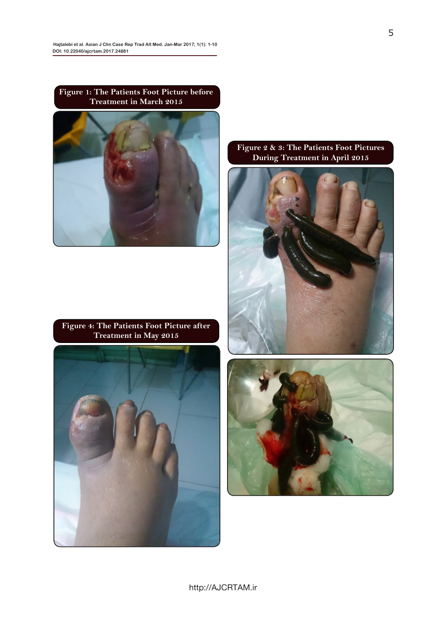**Figure 1: The Patients Foot Picture before Treatment in March 2015**



**Figure 4: The Patients Foot Picture after Treatment in May 2015**



## **Figure 2 & 3: The Patients Foot Pictures During Treatment in April 2015**





http://AJCRTAM.ir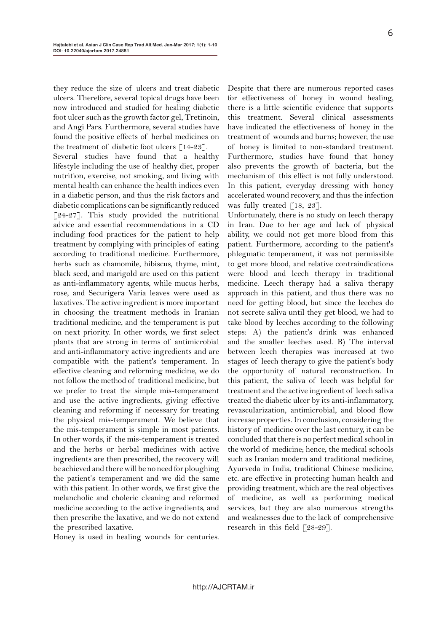they reduce the size of ulcers and treat diabetic ulcers. Therefore, several topical drugs have been now introduced and studied for healing diabetic foot ulcer such as the growth factor gel, Tretinoin, and Angi Pars. Furthermore, several studies have found the positive effects of herbal medicines on the treatment of diabetic foot ulcers  $[14-23]$ . Several studies have found that a healthy lifestyle including the use of healthy diet, proper nutrition, exercise, not smoking, and living with mental health can enhance the health indices even in a diabetic person, and thus the risk factors and diabetic complications can be significantly reduced [24-27]. This study provided the nutritional advice and essential recommendations in a CD including food practices for the patient to help treatment by complying with principles of eating according to traditional medicine. Furthermore, herbs such as chamomile, hibiscus, thyme, mint, black seed, and marigold are used on this patient as anti-inflammatory agents, while mucus herbs, rose, and Securigera Varia leaves were used as laxatives. The active ingredient is more important in choosing the treatment methods in Iranian traditional medicine, and the temperament is put on next priority. In other words, we first select plants that are strong in terms of antimicrobial and anti-inflammatory active ingredients and are compatible with the patient's temperament. In effective cleaning and reforming medicine, we do not follow the method of traditional medicine, but we prefer to treat the simple mis-temperament and use the active ingredients, giving effective cleaning and reforming if necessary for treating the physical mis-temperament. We believe that the mis-temperament is simple in most patients. In other words, if the mis-temperament is treated and the herbs or herbal medicines with active ingredients are then prescribed, the recovery will be achieved and there will be no need for ploughing the patient's temperament and we did the same with this patient. In other words, we first give the melancholic and choleric cleaning and reformed medicine according to the active ingredients, and then prescribe the laxative, and we do not extend the prescribed laxative.

Honey is used in healing wounds for centuries.

Despite that there are numerous reported cases for effectiveness of honey in wound healing, there is a little scientific evidence that supports this treatment. Several clinical assessments have indicated the effectiveness of honey in the treatment of wounds and burns; however, the use of honey is limited to non-standard treatment. Furthermore, studies have found that honey also prevents the growth of bacteria, but the mechanism of this effect is not fully understood. In this patient, everyday dressing with honey accelerated wound recovery, and thus the infection was fully treated [18, 23].

Unfortunately, there is no study on leech therapy in Iran. Due to her age and lack of physical ability, we could not get more blood from this patient. Furthermore, according to the patient's phlegmatic temperament, it was not permissible to get more blood, and relative contraindications were blood and leech therapy in traditional medicine. Leech therapy had a saliva therapy approach in this patient, and thus there was no need for getting blood, but since the leeches do not secrete saliva until they get blood, we had to take blood by leeches according to the following steps: A) the patient's drink was enhanced and the smaller leeches used. B) The interval between leech therapies was increased at two stages of leech therapy to give the patient's body the opportunity of natural reconstruction. In this patient, the saliva of leech was helpful for treatment and the active ingredient of leech saliva treated the diabetic ulcer by its anti-inflammatory, revascularization, antimicrobial, and blood flow increase properties. In conclusion, considering the history of medicine over the last century, it can be concluded that there is no perfect medical school in the world of medicine; hence, the medical schools such as Iranian modern and traditional medicine, Ayurveda in India, traditional Chinese medicine, etc. are effective in protecting human health and providing treatment, which are the real objectives of medicine, as well as performing medical services, but they are also numerous strengths and weaknesses due to the lack of comprehensive research in this field [28-29].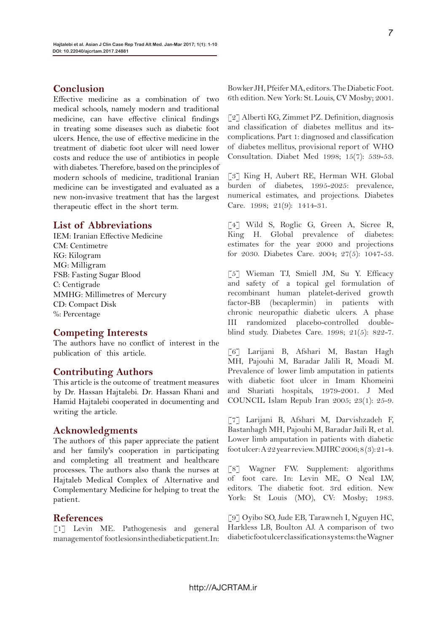## **Conclusion**

Effective medicine as a combination of two medical schools, namely modern and traditional medicine, can have effective clinical findings in treating some diseases such as diabetic foot ulcers. Hence, the use of effective medicine in the treatment of diabetic foot ulcer will need lower costs and reduce the use of antibiotics in people with diabetes. Therefore, based on the principles of modern schools of medicine, traditional Iranian medicine can be investigated and evaluated as a new non-invasive treatment that has the largest therapeutic effect in the short term.

## **List of Abbreviations**

IEM: Iranian Effective Medicine CM: Centimetre KG: Kilogram MG: Milligram FSB: Fasting Sugar Blood C: Centigrade MMHG: Millimetres of Mercury CD: Compact Disk %: Percentage

## **Competing Interests**

The authors have no conflict of interest in the publication of this article.

## **Contributing Authors**

This article is the outcome of treatment measures by Dr. Hassan Hajtalebi. Dr. Hassan Khani and Hamid Hajtalebi cooperated in documenting and writing the article.

#### **Acknowledgments**

The authors of this paper appreciate the patient and her family's cooperation in participating and completing all treatment and healthcare processes. The authors also thank the nurses at Hajtaleb Medical Complex of Alternative and Complementary Medicine for helping to treat the patient.

## **References**

[1] Levin ME. Pathogenesis and general management of foot lesions in the diabetic patient. In: Bowker JH, Pfeifer MA, editors. The Diabetic Foot. 6th edition. New York: St. Louis, CV Mosby; 2001.

[2] Alberti KG, Zimmet PZ. Definition, diagnosis and classification of diabetes mellitus and itscomplications. Part 1: diagnosed and classification of diabetes mellitus, provisional report of WHO Consultation. Diabet Med 1998; 15(7): 539-53.

[3] King H, Aubert RE, Herman WH. Global burden of diabetes, 1995-2025: prevalence, numerical estimates, and projections. Diabetes Care. 1998; 21(9): 1414-31.

[4] Wild S, Roglic G, Green A, Sicree R, King H. Global prevalence of diabetes: estimates for the year 2000 and projections for 2030. Diabetes Care. 2004; 27(5): 1047-53.

[5] Wieman TJ, Smiell JM, Su Y. Efficacy and safety of a topical gel formulation of recombinant human platelet-derived growth factor-BB (becaplermin) in patients with chronic neuropathic diabetic ulcers. A phase III randomized placebo-controlled doubleblind study. Diabetes Care. 1998; 21(5): 822-7.

[6] Larijani B, Afshari M, Bastan Hagh MH, Pajouhi M, Baradar Jalili R, Moadi M. Prevalence of lower limb amputation in patients with diabetic foot ulcer in Imam Khomeini and Shariati hospitals, 1979-2001. J Med COUNCIL Islam Repub Iran 2005; 23(1): 25-9.

[7] Larijani B, Afshari M, Darvishzadeh F, Bastanhagh MH, Pajouhi M, Baradar Jaili R, et al. Lower limb amputation in patients with diabetic foot ulcer: A 22 year review. MJIRC 2006; 8 (3): 21-4.

[8] Wagner FW. Supplement: algorithms of foot care. In: Levin ME, O Neal LW, editors. The diabetic foot. 3rd edition. New York: St Louis (MO), CV: Mosby; 1983.

[9] Oyibo SO, Jude EB, Tarawneh I, Nguyen HC, Harkless LB, Boulton AJ. A comparison of two diabetic foot ulcer classification systems: the Wagner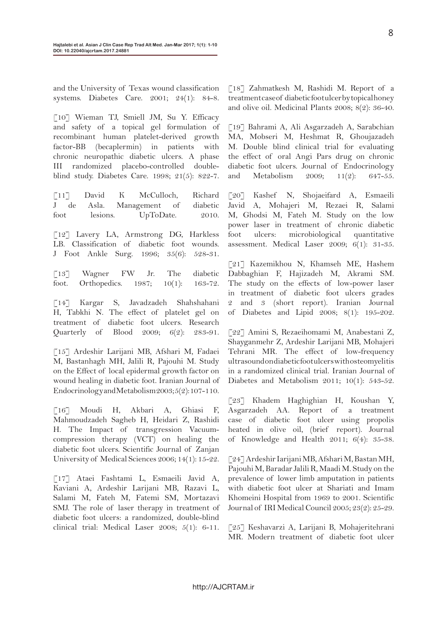and the University of Texas wound classification systems. Diabetes Care. 2001; 24(1): 84-8.

[10] Wieman TJ, Smiell JM, Su Y. Efficacy and safety of a topical gel formulation of recombinant human platelet-derived growth factor-BB (becaplermin) in patients with chronic neuropathic diabetic ulcers. A phase III randomized placebo-controlled doubleblind study. Diabetes Care. 1998; 21(5): 822-7.

[11] David K McCulloch, Richard J de Asla. Management of diabetic foot lesions. UpToDate. 2010.

[12] Lavery LA, Armstrong DG, Harkless LB. Classification of diabetic foot wounds. J Foot Ankle Surg. 1996; 35(6): 528-31.

[13] Wagner FW Jr. The diabetic foot. Orthopedics. 1987; 10(1): 163-72.

[14] Kargar S, Javadzadeh Shahshahani H, Tabkhi N. The effect of platelet gel on treatment of diabetic foot ulcers. Research Quarterly of Blood 2009; 6(2): 283-91.

[15] Ardeshir Larijani MB, Afshari M, Fadaei M, Bastanhagh MH, Jalili R, Pajouhi M. Study on the Effect of local epidermal growth factor on wound healing in diabetic foot. Iranian Journal of Endocrinology and Metabolism 2003; 5(2): 107-110.

[16] Moudi H, Akbari A, Ghiasi F, Mahmoudzadeh Sagheb H, Heidari Z, Rashidi H. The Impact of transgression Vacuumcompression therapy (VCT) on healing the diabetic foot ulcers. Scientific Journal of Zanjan University of Medical Sciences 2006; 14(1): 15-22.

[17] Ataei Fashtami L, Esmaeili Javid A, Kaviani A, Ardeshir Larijani MB, Razavi L, Salami M, Fateh M, Fatemi SM, Mortazavi SMJ. The role of laser therapy in treatment of diabetic foot ulcers: a randomized, double-blind clinical trial: Medical Laser 2008; 5(1): 6-11.

[18] Zahmatkesh M, Rashidi M. Report of a treatment case of diabetic foot ulcer by topical honey and olive oil. Medicinal Plants 2008; 8(2): 36-40.

[19] Bahrami A, Ali Asgarzadeh A, Sarabchian MA, Mobseri M, Heshmat R, Ghoujazadeh M. Double blind clinical trial for evaluating the effect of oral Angi Pars drug on chronic diabetic foot ulcers. Journal of Endocrinology and Metabolism 2009; 11(2): 647-55.

[20] Kashef N, Shojaeifard A, Esmaeili Javid A, Mohajeri M, Rezaei R, Salami M, Ghodsi M, Fateh M. Study on the low power laser in treatment of chronic diabetic foot ulcers: microbiological quantitative assessment. Medical Laser 2009; 6(1): 31-35.

[21] Kazemikhou N, Khamseh ME, Hashem Dabbaghian F, Hajizadeh M, Akrami SM. The study on the effects of low-power laser in treatment of diabetic foot ulcers grades 2 and 3 (short report). Iranian Journal of Diabetes and Lipid 2008; 8(1): 195-202.

[22] Amini S, Rezaeihomami M, Anabestani Z, Shayganmehr Z, Ardeshir Larijani MB, Mohajeri Tehrani MR. The effect of low-frequency ultrasound on diabetic foot ulcers with osteomyelitis in a randomized clinical trial. Iranian Journal of Diabetes and Metabolism 2011; 10(1): 543-52.

[23] Khadem Haghighian H, Koushan Y, Asgarzadeh AA. Report of a treatment case of diabetic foot ulcer using propolis heated in olive oil, (brief report). Journal of Knowledge and Health 2011; 6(4): 35-38.

[24] Ardeshir Iarijani MB, Afshari M, Bastan MH, Pajouhi M, Baradar Jalili R, Maadi M. Study on the prevalence of lower limb amputation in patients with diabetic foot ulcer at Shariati and Imam Khomeini Hospital from 1969 to 2001. Scientific Journal of IRI Medical Council 2005; 23(2): 25-29.

[25] Keshavarzi A, Larijani B, Mohajeritehrani MR. Modern treatment of diabetic foot ulcer